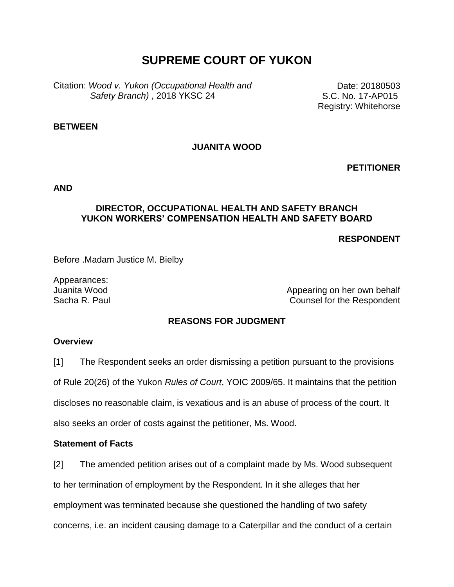# **SUPREME COURT OF YUKON**

Citation: *Wood v. Yukon (Occupational Health and Safety Branch)* , 2018 YKSC 24

Date: 20180503 S.C. No. 17-AP015 Registry: Whitehorse

#### **BETWEEN**

### **JUANITA WOOD**

**PETITIONER**

**AND**

### **DIRECTOR, OCCUPATIONAL HEALTH AND SAFETY BRANCH YUKON WORKERS' COMPENSATION HEALTH AND SAFETY BOARD**

**RESPONDENT**

Before .Madam Justice M. Bielby

Appearances:

Juanita Wood **Appearing on her own behalf** Sacha R. Paul Counsel for the Respondent

### **REASONS FOR JUDGMENT**

### **Overview**

[1] The Respondent seeks an order dismissing a petition pursuant to the provisions

of Rule 20(26) of the Yukon *Rules of Court*, YOIC 2009/65. It maintains that the petition

discloses no reasonable claim, is vexatious and is an abuse of process of the court. It

also seeks an order of costs against the petitioner, Ms. Wood.

### **Statement of Facts**

[2] The amended petition arises out of a complaint made by Ms. Wood subsequent

to her termination of employment by the Respondent. In it she alleges that her

employment was terminated because she questioned the handling of two safety

concerns, i.e. an incident causing damage to a Caterpillar and the conduct of a certain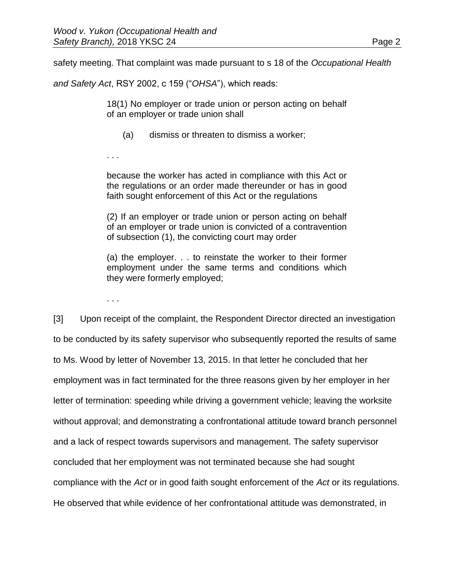safety meeting. That complaint was made pursuant to s 18 of the *Occupational Health* 

*and Safety Act*, RSY 2002, c 159 ("*OHSA*"), which reads:

18(1) No employer or trade union or person acting on behalf of an employer or trade union shall

- (a) dismiss or threaten to dismiss a worker;
- . . .

because the worker has acted in compliance with this Act or the regulations or an order made thereunder or has in good faith sought enforcement of this Act or the regulations

(2) If an employer or trade union or person acting on behalf of an employer or trade union is convicted of a contravention of subsection (1), the convicting court may order

(a) the employer. . . to reinstate the worker to their former employment under the same terms and conditions which they were formerly employed;

. . .

[3] Upon receipt of the complaint, the Respondent Director directed an investigation to be conducted by its safety supervisor who subsequently reported the results of same to Ms. Wood by letter of November 13, 2015. In that letter he concluded that her employment was in fact terminated for the three reasons given by her employer in her letter of termination: speeding while driving a government vehicle; leaving the worksite without approval; and demonstrating a confrontational attitude toward branch personnel and a lack of respect towards supervisors and management. The safety supervisor concluded that her employment was not terminated because she had sought compliance with the *Act* or in good faith sought enforcement of the *Act* or its regulations. He observed that while evidence of her confrontational attitude was demonstrated, in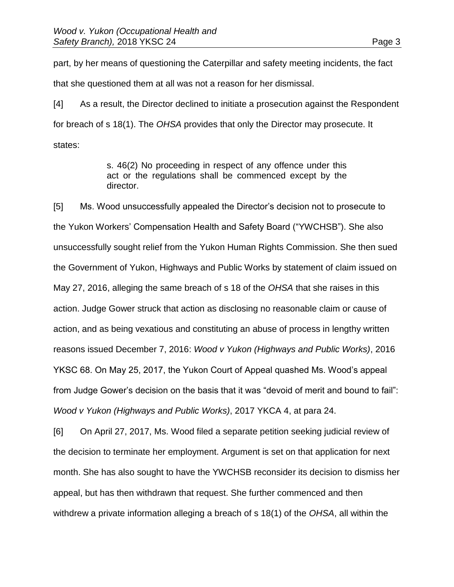part, by her means of questioning the Caterpillar and safety meeting incidents, the fact that she questioned them at all was not a reason for her dismissal.

[4] As a result, the Director declined to initiate a prosecution against the Respondent for breach of s 18(1). The *OHSA* provides that only the Director may prosecute. It states:

> s. 46(2) No proceeding in respect of any offence under this act or the regulations shall be commenced except by the director.

[5] Ms. Wood unsuccessfully appealed the Director's decision not to prosecute to the Yukon Workers' Compensation Health and Safety Board ("YWCHSB"). She also unsuccessfully sought relief from the Yukon Human Rights Commission. She then sued the Government of Yukon, Highways and Public Works by statement of claim issued on May 27, 2016, alleging the same breach of s 18 of the *OHSA* that she raises in this action. Judge Gower struck that action as disclosing no reasonable claim or cause of action, and as being vexatious and constituting an abuse of process in lengthy written reasons issued December 7, 2016: *Wood v Yukon (Highways and Public Works)*, 2016 YKSC 68. On May 25, 2017, the Yukon Court of Appeal quashed Ms. Wood's appeal from Judge Gower's decision on the basis that it was "devoid of merit and bound to fail": *Wood v Yukon (Highways and Public Works)*, 2017 YKCA 4, at para 24.

[6] On April 27, 2017, Ms. Wood filed a separate petition seeking judicial review of the decision to terminate her employment. Argument is set on that application for next month. She has also sought to have the YWCHSB reconsider its decision to dismiss her appeal, but has then withdrawn that request. She further commenced and then withdrew a private information alleging a breach of s 18(1) of the *OHSA*, all within the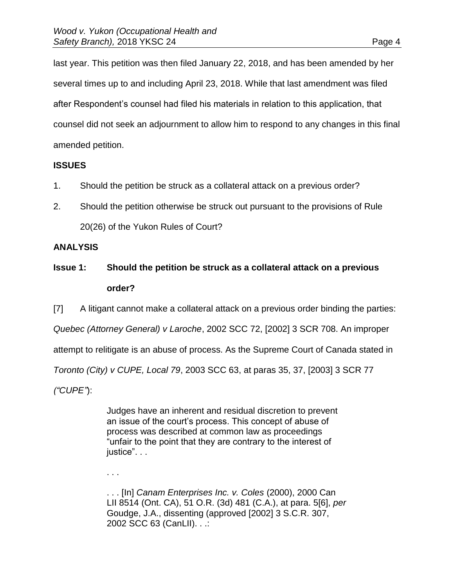last year. This petition was then filed January 22, 2018, and has been amended by her several times up to and including April 23, 2018. While that last amendment was filed after Respondent's counsel had filed his materials in relation to this application, that counsel did not seek an adjournment to allow him to respond to any changes in this final amended petition.

### **ISSUES**

- 1. Should the petition be struck as a collateral attack on a previous order?
- 2. Should the petition otherwise be struck out pursuant to the provisions of Rule 20(26) of the Yukon Rules of Court?

### **ANALYSIS**

# **Issue 1: Should the petition be struck as a collateral attack on a previous order?**

[7] A litigant cannot make a collateral attack on a previous order binding the parties: *Quebec (Attorney General) v Laroche*, 2002 SCC 72, [2002] 3 SCR 708. An improper attempt to relitigate is an abuse of process. As the Supreme Court of Canada stated in *Toronto (City) v CUPE, Local 79*, 2003 SCC 63, at paras 35, 37, [2003] 3 SCR 77 *("CUPE"*):

> Judges have an inherent and residual discretion to prevent an issue of the court's process. This concept of abuse of process was described at common law as proceedings "unfair to the point that they are contrary to the interest of justice". . .

. . .

. . . [In] *Canam Enterprises Inc. v. Coles* (2000), 2000 Can LII 8514 (Ont. CA), 51 O.R. (3d) 481 (C.A.), at para. 5[6], *per* Goudge, J.A., dissenting (approved [2002] 3 S.C.R. 307, 2002 SCC 63 (CanLII). . .: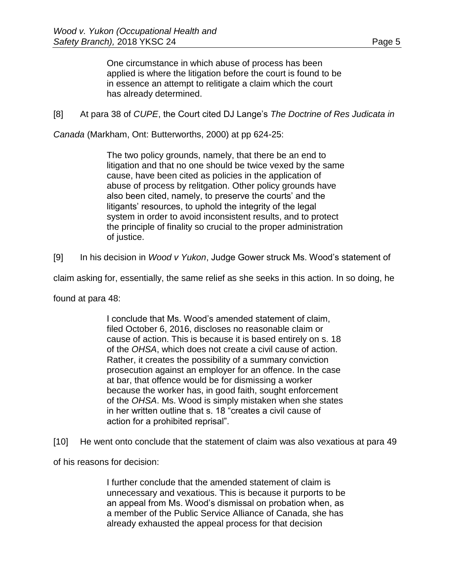One circumstance in which abuse of process has been applied is where the litigation before the court is found to be in essence an attempt to relitigate a claim which the court has already determined.

[8] At para 38 of *CUPE*, the Court cited DJ Lange's *The Doctrine of Res Judicata in* 

*Canada* (Markham, Ont: Butterworths, 2000) at pp 624-25:

The two policy grounds, namely, that there be an end to litigation and that no one should be twice vexed by the same cause, have been cited as policies in the application of abuse of process by relitgation. Other policy grounds have also been cited, namely, to preserve the courts' and the litigants' resources, to uphold the integrity of the legal system in order to avoid inconsistent results, and to protect the principle of finality so crucial to the proper administration of justice.

[9] In his decision in *Wood v Yukon*, Judge Gower struck Ms. Wood's statement of

claim asking for, essentially, the same relief as she seeks in this action. In so doing, he

found at para 48:

I conclude that Ms. Wood's amended statement of claim, filed October 6, 2016, discloses no reasonable claim or cause of action. This is because it is based entirely on s. 18 of the *OHSA*, which does not create a civil cause of action. Rather, it creates the possibility of a summary conviction prosecution against an employer for an offence. In the case at bar, that offence would be for dismissing a worker because the worker has, in good faith, sought enforcement of the *OHSA*. Ms. Wood is simply mistaken when she states in her written outline that s. 18 "creates a civil cause of action for a prohibited reprisal".

[10] He went onto conclude that the statement of claim was also vexatious at para 49

of his reasons for decision:

I further conclude that the amended statement of claim is unnecessary and vexatious. This is because it purports to be an appeal from Ms. Wood's dismissal on probation when, as a member of the Public Service Alliance of Canada, she has already exhausted the appeal process for that decision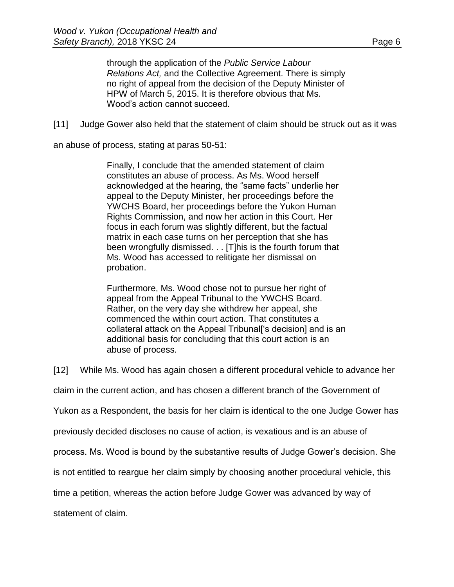through the application of the *Public Service Labour Relations Act,* and the Collective Agreement. There is simply no right of appeal from the decision of the Deputy Minister of HPW of March 5, 2015. It is therefore obvious that Ms. Wood's action cannot succeed.

[11] Judge Gower also held that the statement of claim should be struck out as it was

an abuse of process, stating at paras 50-51:

Finally, I conclude that the amended statement of claim constitutes an abuse of process. As Ms. Wood herself acknowledged at the hearing, the "same facts" underlie her appeal to the Deputy Minister, her proceedings before the YWCHS Board, her proceedings before the Yukon Human Rights Commission, and now her action in this Court. Her focus in each forum was slightly different, but the factual matrix in each case turns on her perception that she has been wrongfully dismissed. . . [T]his is the fourth forum that Ms. Wood has accessed to relitigate her dismissal on probation.

Furthermore, Ms. Wood chose not to pursue her right of appeal from the Appeal Tribunal to the YWCHS Board. Rather, on the very day she withdrew her appeal, she commenced the within court action. That constitutes a collateral attack on the Appeal Tribunal['s decision] and is an additional basis for concluding that this court action is an abuse of process.

[12] While Ms. Wood has again chosen a different procedural vehicle to advance her

claim in the current action, and has chosen a different branch of the Government of

Yukon as a Respondent, the basis for her claim is identical to the one Judge Gower has

previously decided discloses no cause of action, is vexatious and is an abuse of

process. Ms. Wood is bound by the substantive results of Judge Gower's decision. She

is not entitled to reargue her claim simply by choosing another procedural vehicle, this

time a petition, whereas the action before Judge Gower was advanced by way of

statement of claim.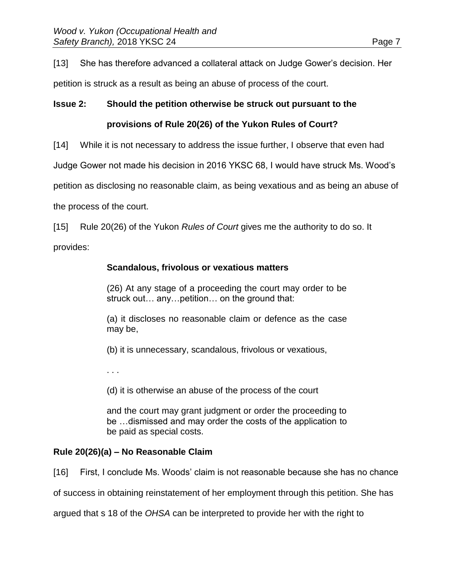[13] She has therefore advanced a collateral attack on Judge Gower's decision. Her

petition is struck as a result as being an abuse of process of the court.

# **Issue 2: Should the petition otherwise be struck out pursuant to the**

## **provisions of Rule 20(26) of the Yukon Rules of Court?**

[14] While it is not necessary to address the issue further, I observe that even had

Judge Gower not made his decision in 2016 YKSC 68, I would have struck Ms. Wood's

petition as disclosing no reasonable claim, as being vexatious and as being an abuse of

the process of the court.

[15] Rule 20(26) of the Yukon *Rules of Court* gives me the authority to do so. It

provides:

## **Scandalous, frivolous or vexatious matters**

(26) At any stage of a proceeding the court may order to be struck out… any…petition… on the ground that:

(a) it discloses no reasonable claim or defence as the case may be,

(b) it is unnecessary, scandalous, frivolous or vexatious,

. . .

(d) it is otherwise an abuse of the process of the court

and the court may grant judgment or order the proceeding to be …dismissed and may order the costs of the application to be paid as special costs.

# **Rule 20(26)(a) – No Reasonable Claim**

[16] First, I conclude Ms. Woods' claim is not reasonable because she has no chance

of success in obtaining reinstatement of her employment through this petition. She has

argued that s 18 of the *OHSA* can be interpreted to provide her with the right to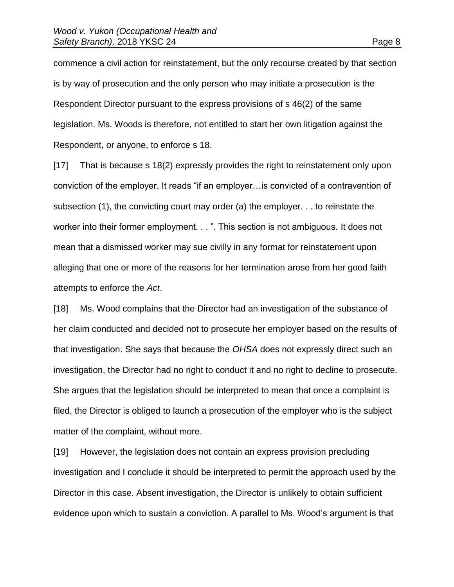commence a civil action for reinstatement, but the only recourse created by that section is by way of prosecution and the only person who may initiate a prosecution is the Respondent Director pursuant to the express provisions of s 46(2) of the same legislation. Ms. Woods is therefore, not entitled to start her own litigation against the Respondent, or anyone, to enforce s 18.

[17] That is because s 18(2) expressly provides the right to reinstatement only upon conviction of the employer. It reads "if an employer…is convicted of a contravention of subsection (1), the convicting court may order (a) the employer. . . to reinstate the worker into their former employment. . . ". This section is not ambiguous. It does not mean that a dismissed worker may sue civilly in any format for reinstatement upon alleging that one or more of the reasons for her termination arose from her good faith attempts to enforce the *Act*.

[18] Ms. Wood complains that the Director had an investigation of the substance of her claim conducted and decided not to prosecute her employer based on the results of that investigation. She says that because the *OHSA* does not expressly direct such an investigation, the Director had no right to conduct it and no right to decline to prosecute. She argues that the legislation should be interpreted to mean that once a complaint is filed, the Director is obliged to launch a prosecution of the employer who is the subject matter of the complaint, without more.

[19] However, the legislation does not contain an express provision precluding investigation and I conclude it should be interpreted to permit the approach used by the Director in this case. Absent investigation, the Director is unlikely to obtain sufficient evidence upon which to sustain a conviction. A parallel to Ms. Wood's argument is that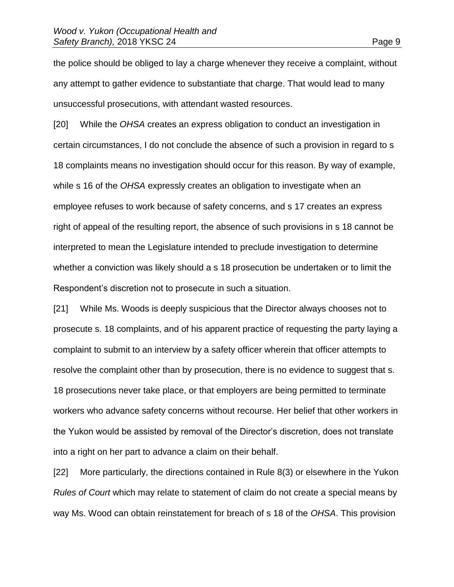the police should be obliged to lay a charge whenever they receive a complaint, without any attempt to gather evidence to substantiate that charge. That would lead to many unsuccessful prosecutions, with attendant wasted resources.

[20] While the *OHSA* creates an express obligation to conduct an investigation in certain circumstances, I do not conclude the absence of such a provision in regard to s 18 complaints means no investigation should occur for this reason. By way of example, while s 16 of the *OHSA* expressly creates an obligation to investigate when an employee refuses to work because of safety concerns, and s 17 creates an express right of appeal of the resulting report, the absence of such provisions in s 18 cannot be interpreted to mean the Legislature intended to preclude investigation to determine whether a conviction was likely should a s 18 prosecution be undertaken or to limit the Respondent's discretion not to prosecute in such a situation.

[21] While Ms. Woods is deeply suspicious that the Director always chooses not to prosecute s. 18 complaints, and of his apparent practice of requesting the party laying a complaint to submit to an interview by a safety officer wherein that officer attempts to resolve the complaint other than by prosecution, there is no evidence to suggest that s. 18 prosecutions never take place, or that employers are being permitted to terminate workers who advance safety concerns without recourse. Her belief that other workers in the Yukon would be assisted by removal of the Director's discretion, does not translate into a right on her part to advance a claim on their behalf.

[22] More particularly, the directions contained in Rule 8(3) or elsewhere in the Yukon *Rules of Court* which may relate to statement of claim do not create a special means by way Ms. Wood can obtain reinstatement for breach of s 18 of the *OHSA*. This provision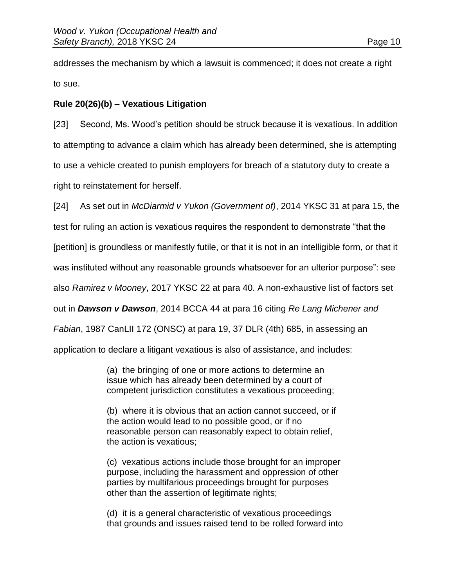addresses the mechanism by which a lawsuit is commenced; it does not create a right to sue.

# **Rule 20(26)(b) – Vexatious Litigation**

[23] Second, Ms. Wood's petition should be struck because it is vexatious. In addition to attempting to advance a claim which has already been determined, she is attempting to use a vehicle created to punish employers for breach of a statutory duty to create a right to reinstatement for herself.

[24] As set out in *McDiarmid v Yukon (Government of)*, 2014 YKSC 31 at para 15, the

test for ruling an action is vexatious requires the respondent to demonstrate "that the

[petition] is groundless or manifestly futile, or that it is not in an intelligible form, or that it

was instituted without any reasonable grounds whatsoever for an ulterior purpose": see

also *Ramirez v Mooney*, 2017 YKSC 22 at para 40. A non-exhaustive list of factors set

out in *Dawson v Dawson*, [2014 BCCA 44](https://www.canlii.org/en/bc/bcca/doc/2014/2014bcca44/2014bcca44.html) at para 16 citing *Re Lang Michener and* 

*Fabian*, [1987 CanLII 172 \(ONSC\)](https://www.canlii.org/en/on/onsc/doc/1987/1987canlii172/1987canlii172.html) at para 19, 37 DLR (4th) 685, in assessing an

application to declare a litigant vexatious is also of assistance, and includes:

(a) the bringing of one or more actions to determine an issue which has already been determined by a court of competent jurisdiction constitutes a vexatious proceeding;

(b) where it is obvious that an action cannot succeed, or if the action would lead to no possible good, or if no reasonable person can reasonably expect to obtain relief, the action is vexatious;

(c) vexatious actions include those brought for an improper purpose, including the harassment and oppression of other parties by multifarious proceedings brought for purposes other than the assertion of legitimate rights;

(d) it is a general characteristic of vexatious proceedings that grounds and issues raised tend to be rolled forward into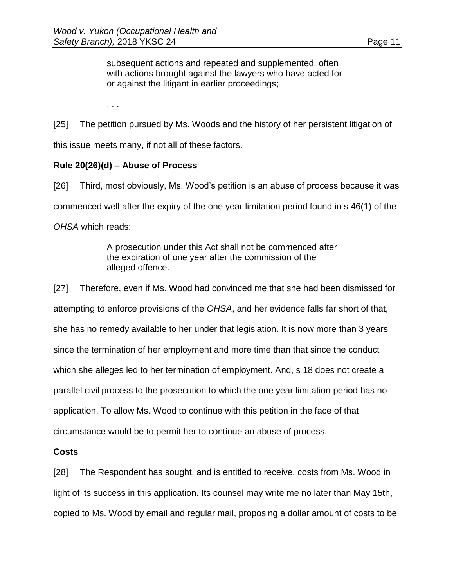subsequent actions and repeated and supplemented, often with actions brought against the lawyers who have acted for or against the litigant in earlier proceedings;

. . .

[25] The petition pursued by Ms. Woods and the history of her persistent litigation of this issue meets many, if not all of these factors.

### **Rule 20(26)(d) – Abuse of Process**

[26] Third, most obviously, Ms. Wood's petition is an abuse of process because it was commenced well after the expiry of the one year limitation period found in s 46(1) of the *OHSA* which reads:

> A prosecution under this Act shall not be commenced after the expiration of one year after the commission of the alleged offence.

[27] Therefore, even if Ms. Wood had convinced me that she had been dismissed for attempting to enforce provisions of the *OHSA*, and her evidence falls far short of that, she has no remedy available to her under that legislation. It is now more than 3 years since the termination of her employment and more time than that since the conduct which she alleges led to her termination of employment. And, s 18 does not create a parallel civil process to the prosecution to which the one year limitation period has no application. To allow Ms. Wood to continue with this petition in the face of that circumstance would be to permit her to continue an abuse of process.

### **Costs**

[28] The Respondent has sought, and is entitled to receive, costs from Ms. Wood in light of its success in this application. Its counsel may write me no later than May 15th, copied to Ms. Wood by email and regular mail, proposing a dollar amount of costs to be